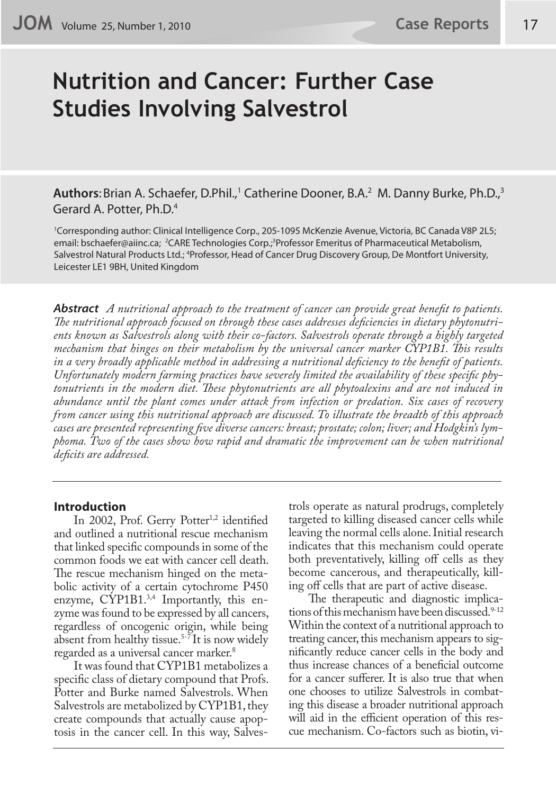# **Nutrition and Cancer: Further Case Studies Involving Salvestrol**

Authors: Brian A. Schaefer, D.Phil.,<sup>1</sup> Catherine Dooner, B.A.<sup>2</sup> M. Danny Burke, Ph.D.,<sup>3</sup> Gerard A. Potter, Ph.D.4

1 Corresponding author: Clinical Intelligence Corp., 205-1095 McKenzie Avenue, Victoria, BC Canada V8P 2L5; email: bschaefer@aiinc.ca; <sup>2</sup>CARE Technologies Corp.;<sup>3</sup>Professor Emeritus of Pharmaceutical Metabolism, Salvestrol Natural Products Ltd.; <sup>4</sup>Professor, Head of Cancer Drug Discovery Group, De Montfort University, Leicester LE1 9BH, United Kingdom

*Abstract A nutritional approach to the treatment of cancer can provide great benefit to patients. The nutritional approach focused on through these cases addresses deficiencies in dietary phytonutrients known as Salvestrols along with their co-factors. Salvestrols operate through a highly targeted mechanism that hinges on their metabolism by the universal cancer marker CYP1B1. This results in a very broadly applicable method in addressing a nutritional deficiency to the benefit of patients. Unfortunately modern farming practices have severely limited the availability of these specific phytonutrients in the modern diet. These phytonutrients are all phytoalexins and are not induced in abundance until the plant comes under attack from infection or predation. Six cases of recovery from cancer using this nutritional approach are discussed. To illustrate the breadth of this approach cases are presented representing five diverse cancers: breast; prostate; colon; liver; and Hodgkin's lymphoma. Two of the cases show how rapid and dramatic the improvement can be when nutritional deficits are addressed.*

## **Introduction**

In 2002, Prof. Gerry Potter<sup>1,2</sup> identified and outlined a nutritional rescue mechanism that linked specific compounds in some of the common foods we eat with cancer cell death. The rescue mechanism hinged on the metabolic activity of a certain cytochrome P450 enzyme, CYP1B1.<sup>3,4</sup> Importantly, this enzyme was found to be expressed by all cancers, regardless of oncogenic origin, while being absent from healthy tissue.<sup>5-7</sup> It is now widely regarded as a universal cancer marker.<sup>8</sup>

It was found that CYP1B1 metabolizes a specific class of dietary compound that Profs. Potter and Burke named Salvestrols. When Salvestrols are metabolized by CYP1B1, they create compounds that actually cause apoptosis in the cancer cell. In this way, Salvestrols operate as natural prodrugs, completely targeted to killing diseased cancer cells while leaving the normal cells alone. Initial research indicates that this mechanism could operate both preventatively, killing off cells as they become cancerous, and therapeutically, killing off cells that are part of active disease.

The therapeutic and diagnostic implications of this mechanism have been discussed. $9-12$ Within the context of a nutritional approach to treating cancer, this mechanism appears to significantly reduce cancer cells in the body and thus increase chances of a beneficial outcome for a cancer sufferer. It is also true that when one chooses to utilize Salvestrols in combating this disease a broader nutritional approach will aid in the efficient operation of this rescue mechanism. Co-factors such as biotin, vi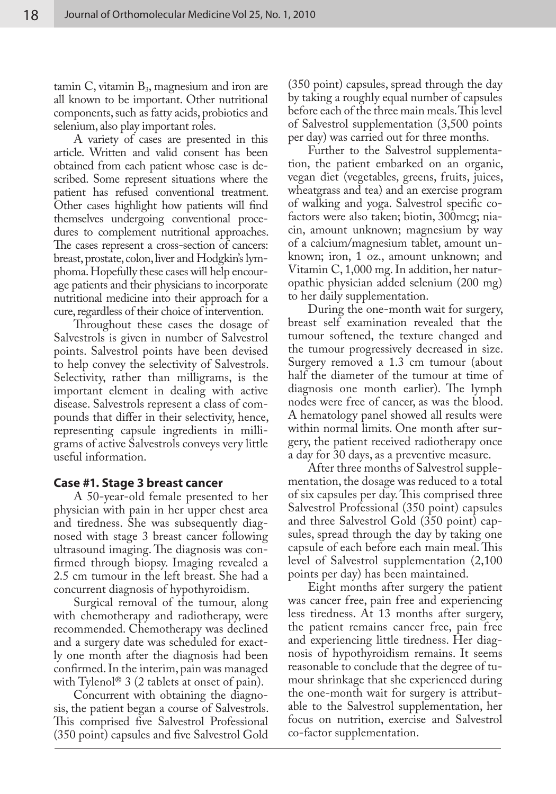tamin  $C$ , vitamin  $B_3$ , magnesium and iron are all known to be important. Other nutritional components, such as fatty acids, probiotics and selenium, also play important roles.

A variety of cases are presented in this article. Written and valid consent has been obtained from each patient whose case is described. Some represent situations where the patient has refused conventional treatment. Other cases highlight how patients will find themselves undergoing conventional procedures to complement nutritional approaches. The cases represent a cross-section of cancers: breast, prostate, colon, liver and Hodgkin's lymphoma. Hopefully these cases will help encourage patients and their physicians to incorporate nutritional medicine into their approach for a cure, regardless of their choice of intervention.

Throughout these cases the dosage of Salvestrols is given in number of Salvestrol points. Salvestrol points have been devised to help convey the selectivity of Salvestrols. Selectivity, rather than milligrams, is the important element in dealing with active disease. Salvestrols represent a class of compounds that differ in their selectivity, hence, representing capsule ingredients in milligrams of active Salvestrols conveys very little useful information.

## **Case #1. Stage 3 breast cancer**

A 50-year-old female presented to her physician with pain in her upper chest area and tiredness. She was subsequently diagnosed with stage 3 breast cancer following ultrasound imaging. The diagnosis was confirmed through biopsy. Imaging revealed a 2.5 cm tumour in the left breast. She had a concurrent diagnosis of hypothyroidism.

Surgical removal of the tumour, along with chemotherapy and radiotherapy, were recommended. Chemotherapy was declined and a surgery date was scheduled for exactly one month after the diagnosis had been confirmed. In the interim, pain was managed with Tylenol<sup>®</sup> 3 (2 tablets at onset of pain).

Concurrent with obtaining the diagnosis, the patient began a course of Salvestrols. This comprised five Salvestrol Professional (350 point) capsules and five Salvestrol Gold (350 point) capsules, spread through the day by taking a roughly equal number of capsules before each of the three main meals. This level of Salvestrol supplementation (3,500 points per day) was carried out for three months.

Further to the Salvestrol supplementation, the patient embarked on an organic, vegan diet (vegetables, greens, fruits, juices, wheatgrass and tea) and an exercise program of walking and yoga. Salvestrol specific cofactors were also taken; biotin, 300mcg; niacin, amount unknown; magnesium by way of a calcium/magnesium tablet, amount unknown; iron, 1 oz., amount unknown; and Vitamin C, 1,000 mg. In addition, her naturopathic physician added selenium (200 mg) to her daily supplementation.

During the one-month wait for surgery, breast self examination revealed that the tumour softened, the texture changed and the tumour progressively decreased in size. Surgery removed a 1.3 cm tumour (about half the diameter of the tumour at time of diagnosis one month earlier). The lymph nodes were free of cancer, as was the blood. A hematology panel showed all results were within normal limits. One month after surgery, the patient received radiotherapy once a day for 30 days, as a preventive measure.

After three months of Salvestrol supplementation, the dosage was reduced to a total of six capsules per day. This comprised three Salvestrol Professional (350 point) capsules and three Salvestrol Gold (350 point) capsules, spread through the day by taking one capsule of each before each main meal. This level of Salvestrol supplementation (2,100 points per day) has been maintained.

Eight months after surgery the patient was cancer free, pain free and experiencing less tiredness. At 13 months after surgery, the patient remains cancer free, pain free and experiencing little tiredness. Her diagnosis of hypothyroidism remains. It seems reasonable to conclude that the degree of tumour shrinkage that she experienced during the one-month wait for surgery is attributable to the Salvestrol supplementation, her focus on nutrition, exercise and Salvestrol co-factor supplementation.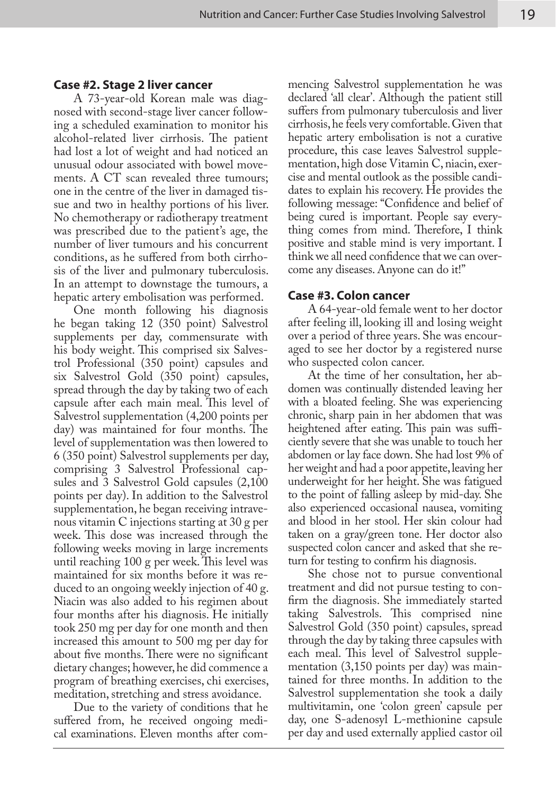### **Case #2. Stage 2 liver cancer**

A 73-year-old Korean male was diagnosed with second-stage liver cancer following a scheduled examination to monitor his alcohol-related liver cirrhosis. The patient had lost a lot of weight and had noticed an unusual odour associated with bowel movements. A CT scan revealed three tumours; one in the centre of the liver in damaged tissue and two in healthy portions of his liver. No chemotherapy or radiotherapy treatment was prescribed due to the patient's age, the number of liver tumours and his concurrent conditions, as he suffered from both cirrhosis of the liver and pulmonary tuberculosis. In an attempt to downstage the tumours, a hepatic artery embolisation was performed.

One month following his diagnosis he began taking 12 (350 point) Salvestrol supplements per day, commensurate with his body weight. This comprised six Salvestrol Professional (350 point) capsules and six Salvestrol Gold (350 point) capsules, spread through the day by taking two of each capsule after each main meal. This level of Salvestrol supplementation (4,200 points per day) was maintained for four months. The level of supplementation was then lowered to 6 (350 point) Salvestrol supplements per day, comprising 3 Salvestrol Professional capsules and 3 Salvestrol Gold capsules (2,100 points per day). In addition to the Salvestrol supplementation, he began receiving intravenous vitamin C injections starting at 30 g per week. This dose was increased through the following weeks moving in large increments until reaching 100 g per week. This level was maintained for six months before it was reduced to an ongoing weekly injection of 40 g. Niacin was also added to his regimen about four months after his diagnosis. He initially took 250 mg per day for one month and then increased this amount to 500 mg per day for about five months. There were no significant dietary changes; however, he did commence a program of breathing exercises, chi exercises, meditation, stretching and stress avoidance.

Due to the variety of conditions that he suffered from, he received ongoing medical examinations. Eleven months after com-

mencing Salvestrol supplementation he was declared 'all clear'. Although the patient still suffers from pulmonary tuberculosis and liver cirrhosis, he feels very comfortable. Given that hepatic artery embolisation is not a curative procedure, this case leaves Salvestrol supplementation, high dose Vitamin C, niacin, exercise and mental outlook as the possible candidates to explain his recovery. He provides the following message: "Confidence and belief of being cured is important. People say everything comes from mind. Therefore, I think positive and stable mind is very important. I think we all need confidence that we can overcome any diseases. Anyone can do it!"

# **Case #3. Colon cancer**

A 64-year-old female went to her doctor after feeling ill, looking ill and losing weight over a period of three years. She was encouraged to see her doctor by a registered nurse who suspected colon cancer.

At the time of her consultation, her abdomen was continually distended leaving her with a bloated feeling. She was experiencing chronic, sharp pain in her abdomen that was heightened after eating. This pain was sufficiently severe that she was unable to touch her abdomen or lay face down. She had lost 9% of her weight and had a poor appetite, leaving her underweight for her height. She was fatigued to the point of falling asleep by mid-day. She also experienced occasional nausea, vomiting and blood in her stool. Her skin colour had taken on a gray/green tone. Her doctor also suspected colon cancer and asked that she return for testing to confirm his diagnosis.

She chose not to pursue conventional treatment and did not pursue testing to confirm the diagnosis. She immediately started taking Salvestrols. This comprised nine Salvestrol Gold (350 point) capsules, spread through the day by taking three capsules with each meal. This level of Salvestrol supplementation (3,150 points per day) was maintained for three months. In addition to the Salvestrol supplementation she took a daily multivitamin, one 'colon green' capsule per day, one S-adenosyl L-methionine capsule per day and used externally applied castor oil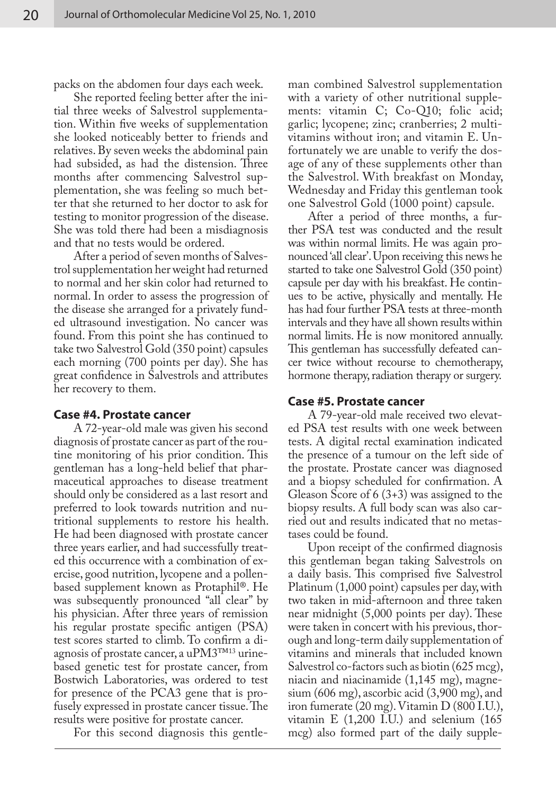packs on the abdomen four days each week.

She reported feeling better after the initial three weeks of Salvestrol supplementation. Within five weeks of supplementation she looked noticeably better to friends and relatives. By seven weeks the abdominal pain had subsided, as had the distension. Three months after commencing Salvestrol supplementation, she was feeling so much better that she returned to her doctor to ask for testing to monitor progression of the disease. She was told there had been a misdiagnosis and that no tests would be ordered.

After a period of seven months of Salvestrol supplementation her weight had returned to normal and her skin color had returned to normal. In order to assess the progression of the disease she arranged for a privately funded ultrasound investigation. No cancer was found. From this point she has continued to take two Salvestrol Gold (350 point) capsules each morning (700 points per day). She has great confidence in Salvestrols and attributes her recovery to them.

#### **Case #4. Prostate cancer**

A 72-year-old male was given his second diagnosis of prostate cancer as part of the routine monitoring of his prior condition. This gentleman has a long-held belief that pharmaceutical approaches to disease treatment should only be considered as a last resort and preferred to look towards nutrition and nutritional supplements to restore his health. He had been diagnosed with prostate cancer three years earlier, and had successfully treated this occurrence with a combination of exercise, good nutrition, lycopene and a pollenbased supplement known as Protaphil®. He was subsequently pronounced "all clear" by his physician. After three years of remission his regular prostate specific antigen (PSA) test scores started to climb. To confirm a diagnosis of prostate cancer, a uPM3™13 urinebased genetic test for prostate cancer, from Bostwich Laboratories, was ordered to test for presence of the PCA3 gene that is profusely expressed in prostate cancer tissue. The results were positive for prostate cancer.

For this second diagnosis this gentle-

man combined Salvestrol supplementation with a variety of other nutritional supplements: vitamin C; Co-Q10; folic acid; garlic; lycopene; zinc; cranberries; 2 multivitamins without iron; and vitamin E. Unfortunately we are unable to verify the dosage of any of these supplements other than the Salvestrol. With breakfast on Monday, Wednesday and Friday this gentleman took one Salvestrol Gold (1000 point) capsule.

After a period of three months, a further PSA test was conducted and the result was within normal limits. He was again pronounced 'all clear'. Upon receiving this news he started to take one Salvestrol Gold (350 point) capsule per day with his breakfast. He continues to be active, physically and mentally. He has had four further PSA tests at three-month intervals and they have all shown results within normal limits. He is now monitored annually. This gentleman has successfully defeated cancer twice without recourse to chemotherapy, hormone therapy, radiation therapy or surgery.

#### **Case #5. Prostate cancer**

A 79-year-old male received two elevated PSA test results with one week between tests. A digital rectal examination indicated the presence of a tumour on the left side of the prostate. Prostate cancer was diagnosed and a biopsy scheduled for confirmation. A Gleason Score of 6 (3+3) was assigned to the biopsy results. A full body scan was also carried out and results indicated that no metastases could be found.

Upon receipt of the confirmed diagnosis this gentleman began taking Salvestrols on a daily basis. This comprised five Salvestrol Platinum (1,000 point) capsules per day, with two taken in mid-afternoon and three taken near midnight (5,000 points per day). These were taken in concert with his previous, thorough and long-term daily supplementation of vitamins and minerals that included known Salvestrol co-factors such as biotin (625 mcg), niacin and niacinamide (1,145 mg), magnesium (606 mg), ascorbic acid (3,900 mg), and iron fumerate (20 mg). Vitamin D (800 I.U.), vitamin E (1,200 I.U.) and selenium (165 mcg) also formed part of the daily supple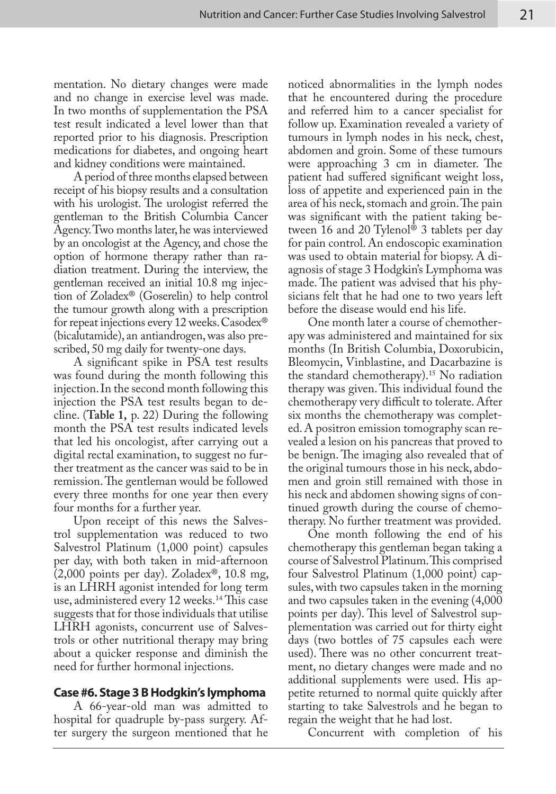mentation. No dietary changes were made and no change in exercise level was made. In two months of supplementation the PSA test result indicated a level lower than that reported prior to his diagnosis. Prescription medications for diabetes, and ongoing heart and kidney conditions were maintained.

A period of three months elapsed between receipt of his biopsy results and a consultation with his urologist. The urologist referred the gentleman to the British Columbia Cancer Agency. Two months later, he was interviewed by an oncologist at the Agency, and chose the option of hormone therapy rather than radiation treatment. During the interview, the gentleman received an initial 10.8 mg injection of Zoladex® (Goserelin) to help control the tumour growth along with a prescription for repeat injections every 12 weeks. Casodex® (bicalutamide), an antiandrogen, was also prescribed, 50 mg daily for twenty-one days.

A significant spike in PSA test results was found during the month following this injection. In the second month following this injection the PSA test results began to decline. (**Table 1,** p. 22) During the following month the PSA test results indicated levels that led his oncologist, after carrying out a digital rectal examination, to suggest no further treatment as the cancer was said to be in remission. The gentleman would be followed every three months for one year then every four months for a further year.

Upon receipt of this news the Salvestrol supplementation was reduced to two Salvestrol Platinum (1,000 point) capsules per day, with both taken in mid-afternoon (2,000 points per day). Zoladex®, 10.8 mg, is an LHRH agonist intended for long term use, administered every 12 weeks.14 This case suggests that for those individuals that utilise LHRH agonists, concurrent use of Salvestrols or other nutritional therapy may bring about a quicker response and diminish the need for further hormonal injections.

# **Case #6. Stage 3 B Hodgkin's lymphoma**

A 66-year-old man was admitted to hospital for quadruple by-pass surgery. After surgery the surgeon mentioned that he

noticed abnormalities in the lymph nodes that he encountered during the procedure and referred him to a cancer specialist for follow up. Examination revealed a variety of tumours in lymph nodes in his neck, chest, abdomen and groin. Some of these tumours were approaching 3 cm in diameter. The patient had suffered significant weight loss, loss of appetite and experienced pain in the area of his neck, stomach and groin. The pain was significant with the patient taking between 16 and 20 Tylenol® 3 tablets per day for pain control. An endoscopic examination was used to obtain material for biopsy. A diagnosis of stage 3 Hodgkin's Lymphoma was made. The patient was advised that his physicians felt that he had one to two years left before the disease would end his life.

One month later a course of chemotherapy was administered and maintained for six months (In British Columbia, Doxorubicin, Bleomycin, Vinblastine, and Dacarbazine is the standard chemotherapy).15 No radiation therapy was given. This individual found the chemotherapy very difficult to tolerate. After six months the chemotherapy was completed. A positron emission tomography scan revealed a lesion on his pancreas that proved to be benign. The imaging also revealed that of the original tumours those in his neck, abdomen and groin still remained with those in his neck and abdomen showing signs of continued growth during the course of chemotherapy. No further treatment was provided.

One month following the end of his chemotherapy this gentleman began taking a course of Salvestrol Platinum. This comprised four Salvestrol Platinum (1,000 point) capsules, with two capsules taken in the morning and two capsules taken in the evening (4,000 points per day). This level of Salvestrol supplementation was carried out for thirty eight days (two bottles of 75 capsules each were used). There was no other concurrent treatment, no dietary changes were made and no additional supplements were used. His appetite returned to normal quite quickly after starting to take Salvestrols and he began to regain the weight that he had lost.

Concurrent with completion of his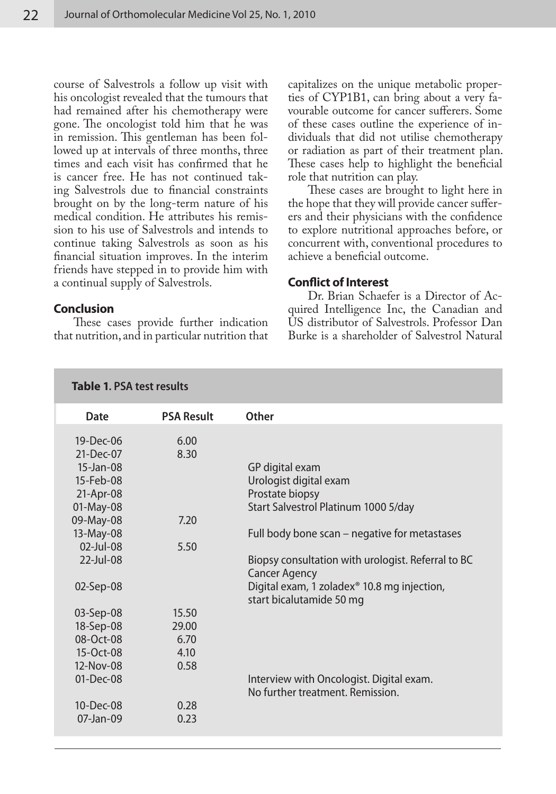course of Salvestrols a follow up visit with his oncologist revealed that the tumours that had remained after his chemotherapy were gone. The oncologist told him that he was in remission. This gentleman has been followed up at intervals of three months, three times and each visit has confirmed that he is cancer free. He has not continued taking Salvestrols due to financial constraints brought on by the long-term nature of his medical condition. He attributes his remission to his use of Salvestrols and intends to continue taking Salvestrols as soon as his financial situation improves. In the interim friends have stepped in to provide him with a continual supply of Salvestrols.

# **Conclusion**

These cases provide further indication that nutrition, and in particular nutrition that

**Table 1. PSA test results**

capitalizes on the unique metabolic properties of CYP1B1, can bring about a very favourable outcome for cancer sufferers. Some of these cases outline the experience of individuals that did not utilise chemotherapy or radiation as part of their treatment plan. These cases help to highlight the beneficial role that nutrition can play.

These cases are brought to light here in the hope that they will provide cancer sufferers and their physicians with the confidence to explore nutritional approaches before, or concurrent with, conventional procedures to achieve a beneficial outcome.

# **Conflict of Interest**

Dr. Brian Schaefer is a Director of Acquired Intelligence Inc, the Canadian and US distributor of Salvestrols. Professor Dan Burke is a shareholder of Salvestrol Natural

| <b>Date</b>     | <b>PSA Result</b> | Other                                              |
|-----------------|-------------------|----------------------------------------------------|
|                 |                   |                                                    |
| $19$ -Dec-06    | 6.00              |                                                    |
| $21-Dec-07$     | 8.30              |                                                    |
| 15-Jan-08       |                   | GP digital exam                                    |
| 15-Feb-08       |                   | Urologist digital exam                             |
| 21-Apr-08       |                   | Prostate biopsy                                    |
| 01-May-08       |                   | Start Salvestrol Platinum 1000 5/day               |
| 09-May-08       | 7.20              |                                                    |
| 13-May-08       |                   | Full body bone scan – negative for metastases      |
| 02-Jul-08       | 5.50              |                                                    |
| $22$ -Jul-08    |                   | Biopsy consultation with urologist. Referral to BC |
|                 |                   | <b>Cancer Agency</b>                               |
| 02-Sep-08       |                   | Digital exam, 1 zoladex® 10.8 mg injection,        |
|                 |                   | start bicalutamide 50 mg                           |
| 03-Sep-08       | 15.50             |                                                    |
| 18-Sep-08       | 29.00             |                                                    |
| 08-Oct-08       | 6.70              |                                                    |
| $15 - Oct - 08$ | 4.10              |                                                    |
| 12-Nov-08       | 0.58              |                                                    |
| $01-Dec-08$     |                   |                                                    |
|                 |                   | Interview with Oncologist. Digital exam.           |
|                 |                   | No further treatment, Remission.                   |
| $10 - Dec-08$   | 0.28              |                                                    |
| $07$ -Jan- $09$ | 0.23              |                                                    |
|                 |                   |                                                    |